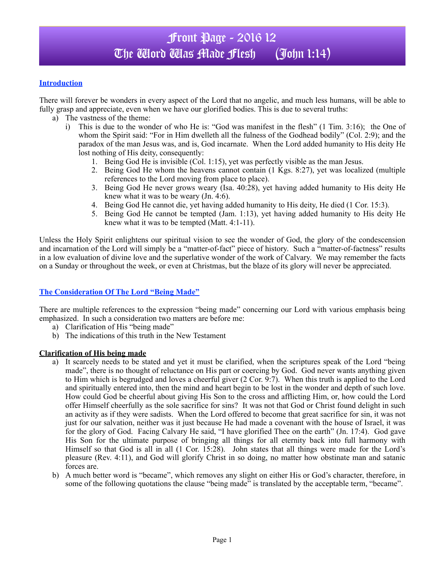### **Introduction**

There will forever be wonders in every aspect of the Lord that no angelic, and much less humans, will be able to fully grasp and appreciate, even when we have our glorified bodies. This is due to several truths:

- a) The vastness of the theme:
	- i) This is due to the wonder of who He is: "God was manifest in the flesh" (1 Tim. 3:16); the One of whom the Spirit said: "For in Him dwelleth all the fulness of the Godhead bodily" (Col. 2:9); and the paradox of the man Jesus was, and is, God incarnate. When the Lord added humanity to His deity He lost nothing of His deity, consequently:
		- 1. Being God He is invisible (Col. 1:15), yet was perfectly visible as the man Jesus.
		- 2. Being God He whom the heavens cannot contain (1 Kgs. 8:27), yet was localized (multiple references to the Lord moving from place to place).
		- 3. Being God He never grows weary (Isa. 40:28), yet having added humanity to His deity He knew what it was to be weary (Jn. 4:6).
		- 4. Being God He cannot die, yet having added humanity to His deity, He died (1 Cor. 15:3).
		- 5. Being God He cannot be tempted (Jam. 1:13), yet having added humanity to His deity He knew what it was to be tempted (Matt. 4:1-11).

Unless the Holy Spirit enlightens our spiritual vision to see the wonder of God, the glory of the condescension and incarnation of the Lord will simply be a "matter-of-fact" piece of history. Such a "matter-of-factness" results in a low evaluation of divine love and the superlative wonder of the work of Calvary. We may remember the facts on a Sunday or throughout the week, or even at Christmas, but the blaze of its glory will never be appreciated.

### **The Consideration Of The Lord "Being Made"**

There are multiple references to the expression "being made" concerning our Lord with various emphasis being emphasized. In such a consideration two matters are before me:

- a) Clarification of His "being made"
- b) The indications of this truth in the New Testament

### **Clarification of His being made**

- a) It scarcely needs to be stated and yet it must be clarified, when the scriptures speak of the Lord "being made", there is no thought of reluctance on His part or coercing by God. God never wants anything given to Him which is begrudged and loves a cheerful giver (2 Cor. 9:7). When this truth is applied to the Lord and spiritually entered into, then the mind and heart begin to be lost in the wonder and depth of such love. How could God be cheerful about giving His Son to the cross and afflicting Him, or, how could the Lord offer Himself cheerfully as the sole sacrifice for sins? It was not that God or Christ found delight in such an activity as if they were sadists. When the Lord offered to become that great sacrifice for sin, it was not just for our salvation, neither was it just because He had made a covenant with the house of Israel, it was for the glory of God. Facing Calvary He said, "I have glorified Thee on the earth" (Jn. 17:4). God gave His Son for the ultimate purpose of bringing all things for all eternity back into full harmony with Himself so that God is all in all (1 Cor. 15:28). John states that all things were made for the Lord's pleasure (Rev. 4:11), and God will glorify Christ in so doing, no matter how obstinate man and satanic forces are.
- b) A much better word is "became", which removes any slight on either His or God's character, therefore, in some of the following quotations the clause "being made" is translated by the acceptable term, "became".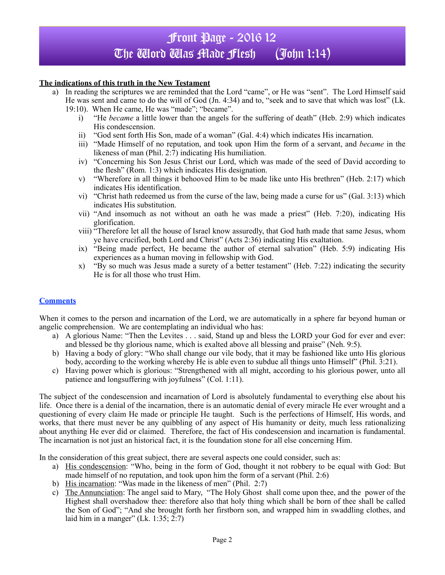# Front Page - 2016 12 The Word Was Made Flesh (John 1:14)

### **The indications of this truth in the New Testament**

- a) In reading the scriptures we are reminded that the Lord "came", or He was "sent". The Lord Himself said He was sent and came to do the will of God (Jn. 4:34) and to, "seek and to save that which was lost" (Lk.
	- 19:10). When He came, He was "made"; "became".
		- i) "He *became* a little lower than the angels for the suffering of death" (Heb. 2:9) which indicates His condescension.
		- ii) "God sent forth His Son, made of a woman" (Gal. 4:4) which indicates His incarnation.
		- iii) "Made Himself of no reputation, and took upon Him the form of a servant, and *became* in the likeness of man (Phil.  $2:\bar{7}$ ) indicating His humiliation.
		- iv) "Concerning his Son Jesus Christ our Lord, which was made of the seed of David according to the flesh" (Rom. 1:3) which indicates His designation.
		- v) "Wherefore in all things it behooved Him to be made like unto His brethren" (Heb. 2:17) which indicates His identification.
		- vi) "Christ hath redeemed us from the curse of the law, being made a curse for us" (Gal. 3:13) which indicates His substitution.
		- vii) "And insomuch as not without an oath he was made a priest" (Heb. 7:20), indicating His glorification.
		- viii) "Therefore let all the house of Israel know assuredly, that God hath made that same Jesus, whom ye have crucified, both Lord and Christ" (Acts 2:36) indicating His exaltation.
		- ix) "Being made perfect, He became the author of eternal salvation" (Heb. 5:9) indicating His experiences as a human moving in fellowship with God.
		- x) "By so much was Jesus made a surety of a better testament" (Heb. 7:22) indicating the security He is for all those who trust Him.

### **Comments**

When it comes to the person and incarnation of the Lord, we are automatically in a sphere far beyond human or angelic comprehension. We are contemplating an individual who has:

- a) A glorious Name: "Then the Levites . . . said, Stand up and bless the LORD your God for ever and ever: and blessed be thy glorious name, which is exalted above all blessing and praise" (Neh. 9:5).
- b) Having a body of glory: "Who shall change our vile body, that it may be fashioned like unto His glorious body, according to the working whereby He is able even to subdue all things unto Himself" (Phil. 3:21).
- c) Having power which is glorious: "Strengthened with all might, according to his glorious power, unto all patience and longsuffering with joyfulness" (Col. 1:11).

The subject of the condescension and incarnation of Lord is absolutely fundamental to everything else about his life. Once there is a denial of the incarnation, there is an automatic denial of every miracle He ever wrought and a questioning of every claim He made or principle He taught. Such is the perfections of Himself, His words, and works, that there must never be any quibbling of any aspect of His humanity or deity, much less rationalizing about anything He ever did or claimed. Therefore, the fact of His condescension and incarnation is fundamental. The incarnation is not just an historical fact, it is the foundation stone for all else concerning Him.

In the consideration of this great subject, there are several aspects one could consider, such as:

- a) His condescension: "Who, being in the form of God, thought it not robbery to be equal with God: But made himself of no reputation, and took upon him the form of a servant (Phil. 2:6)
- b) His incarnation: "Was made in the likeness of men" (Phil. 2:7)
- c) The Annunciation: The angel said to Mary, "The Holy Ghost shall come upon thee, and the power of the Highest shall overshadow thee: therefore also that holy thing which shall be born of thee shall be called the Son of God"; "And she brought forth her firstborn son, and wrapped him in swaddling clothes, and laid him in a manger" (Lk.  $1:35; 2:7$ )